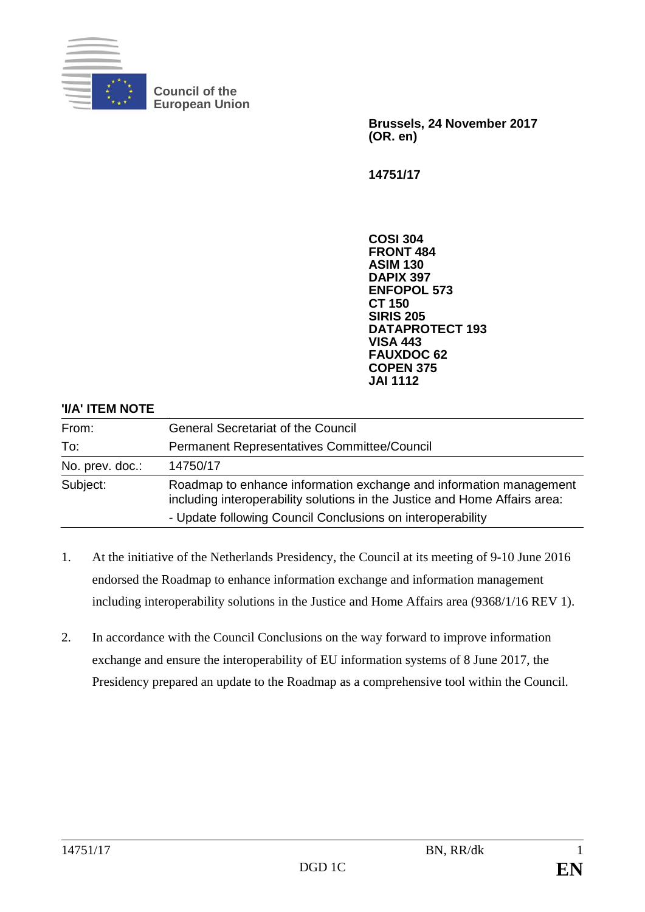

**Council of the European Union** 

> **Brussels, 24 November 2017 (OR. en)**

**14751/17** 

**COSI 304 FRONT 484 ASIM 130 DAPIX 397 ENFOPOL 573 CT 150 SIRIS 205 DATAPROTECT 193 VISA 443 FAUXDOC 62 COPEN 375 JAI 1112**

## **'I/A' ITEM NOTE**

| From:           | <b>General Secretariat of the Council</b>                                                                                                        |
|-----------------|--------------------------------------------------------------------------------------------------------------------------------------------------|
| To:             | <b>Permanent Representatives Committee/Council</b>                                                                                               |
| No. prev. doc.: | 14750/17                                                                                                                                         |
| Subject:        | Roadmap to enhance information exchange and information management<br>including interoperability solutions in the Justice and Home Affairs area: |
|                 | - Update following Council Conclusions on interoperability                                                                                       |

- 1. At the initiative of the Netherlands Presidency, the Council at its meeting of 9-10 June 2016 endorsed the Roadmap to enhance information exchange and information management including interoperability solutions in the Justice and Home Affairs area (9368/1/16 REV 1).
- 2. In accordance with the Council Conclusions on the way forward to improve information exchange and ensure the interoperability of EU information systems of 8 June 2017, the Presidency prepared an update to the Roadmap as a comprehensive tool within the Council.